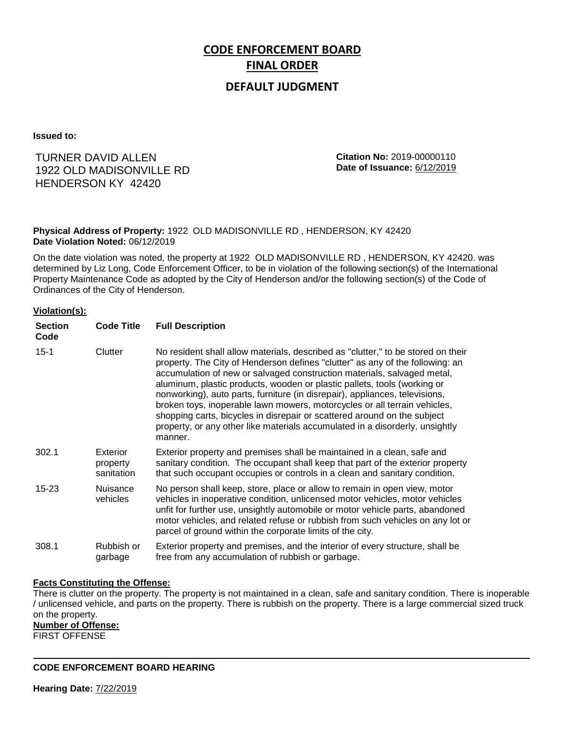# **CODE ENFORCEMENT BOARD FINAL ORDER**

### **DEFAULT JUDGMENT**

**Issued to:**

## HENDERSON KY 42420 TURNER DAVID ALLEN 1922 OLD MADISONVILLE RD

**Citation No:** 2019-00000110 **Date of Issuance:** 6/12/2019

**Physical Address of Property:** 1922 OLD MADISONVILLE RD , HENDERSON, KY 42420 **Date Violation Noted:** 06/12/2019

On the date violation was noted, the property at 1922 OLD MADISONVILLE RD , HENDERSON, KY 42420. was determined by Liz Long, Code Enforcement Officer, to be in violation of the following section(s) of the International Property Maintenance Code as adopted by the City of Henderson and/or the following section(s) of the Code of Ordinances of the City of Henderson.

#### **Violation(s):**

| <b>Section</b><br>Code | <b>Code Title</b>                  | <b>Full Description</b>                                                                                                                                                                                                                                                                                                                                                                                                                                                                                                                                                                                                                                     |
|------------------------|------------------------------------|-------------------------------------------------------------------------------------------------------------------------------------------------------------------------------------------------------------------------------------------------------------------------------------------------------------------------------------------------------------------------------------------------------------------------------------------------------------------------------------------------------------------------------------------------------------------------------------------------------------------------------------------------------------|
| $15 - 1$               | Clutter                            | No resident shall allow materials, described as "clutter," to be stored on their<br>property. The City of Henderson defines "clutter" as any of the following: an<br>accumulation of new or salvaged construction materials, salvaged metal,<br>aluminum, plastic products, wooden or plastic pallets, tools (working or<br>nonworking), auto parts, furniture (in disrepair), appliances, televisions,<br>broken toys, inoperable lawn mowers, motorcycles or all terrain vehicles,<br>shopping carts, bicycles in disrepair or scattered around on the subject<br>property, or any other like materials accumulated in a disorderly, unsightly<br>manner. |
| 302.1                  | Exterior<br>property<br>sanitation | Exterior property and premises shall be maintained in a clean, safe and<br>sanitary condition. The occupant shall keep that part of the exterior property<br>that such occupant occupies or controls in a clean and sanitary condition.                                                                                                                                                                                                                                                                                                                                                                                                                     |
| $15 - 23$              | <b>Nuisance</b><br>vehicles        | No person shall keep, store, place or allow to remain in open view, motor<br>vehicles in inoperative condition, unlicensed motor vehicles, motor vehicles<br>unfit for further use, unsightly automobile or motor vehicle parts, abandoned<br>motor vehicles, and related refuse or rubbish from such vehicles on any lot or<br>parcel of ground within the corporate limits of the city.                                                                                                                                                                                                                                                                   |
| 308.1                  | Rubbish or<br>garbage              | Exterior property and premises, and the interior of every structure, shall be<br>free from any accumulation of rubbish or garbage.                                                                                                                                                                                                                                                                                                                                                                                                                                                                                                                          |

#### **Facts Constituting the Offense:**

There is clutter on the property. The property is not maintained in a clean, safe and sanitary condition. There is inoperable / unlicensed vehicle, and parts on the property. There is rubbish on the property. There is a large commercial sized truck on the property.

**Number of Offense:**

FIRST OFFENSE

**CODE ENFORCEMENT BOARD HEARING**

**Hearing Date:** 7/22/2019